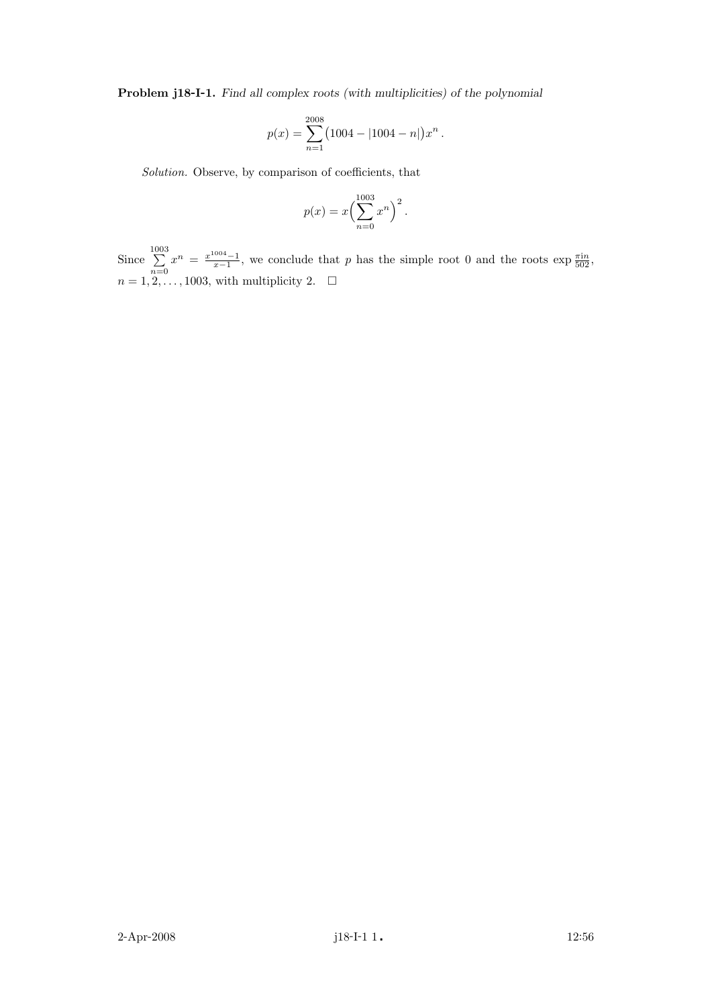Problem j18-I-1. Find all complex roots (with multiplicities) of the polynomial

$$
p(x) = \sum_{n=1}^{2008} (1004 - |1004 - n|) x^{n}.
$$

Solution. Observe, by comparison of coefficients, that

$$
p(x) = x \left(\sum_{n=0}^{1003} x^n\right)^2.
$$

Since  $\sum_{ }^{1003}$  $\sum_{n=0}^{\infty} x^n = \frac{x^{1004}-1}{x-1}$ , we conclude that p has the simple root 0 and the roots  $\exp \frac{\pi in}{502}$ ,  $n = 1, 2, \ldots, 1003$ , with multiplicity 2.  $\Box$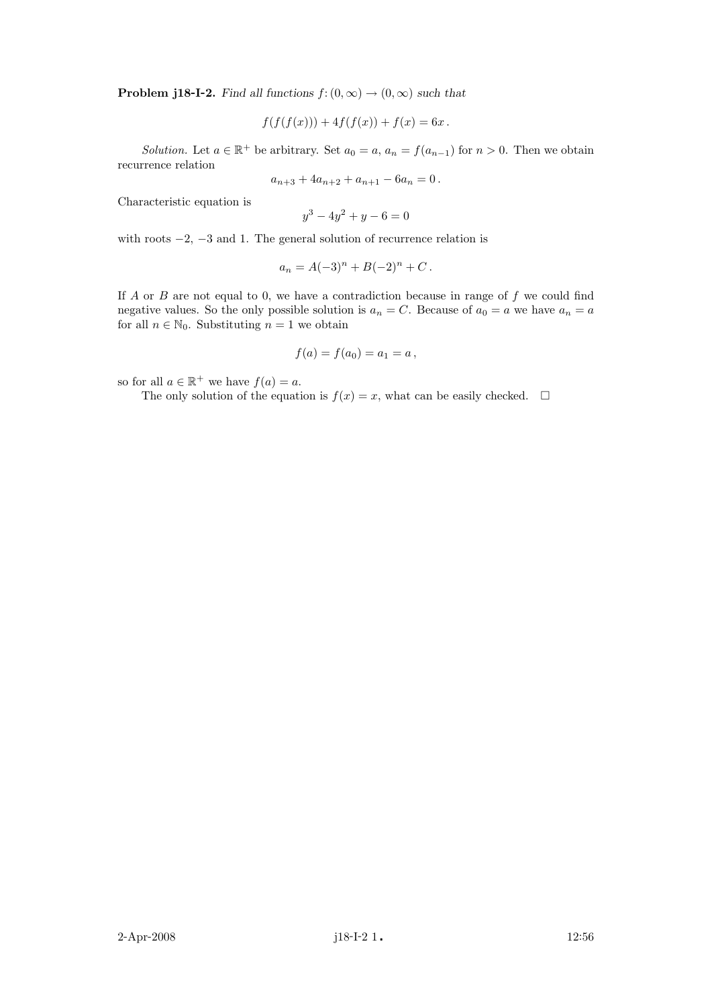**Problem j18-I-2.** Find all functions  $f: (0, \infty) \to (0, \infty)$  such that

$$
f(f(f(x))) + 4f(f(x)) + f(x) = 6x.
$$

Solution. Let  $a \in \mathbb{R}^+$  be arbitrary. Set  $a_0 = a$ ,  $a_n = f(a_{n-1})$  for  $n > 0$ . Then we obtain recurrence relation

$$
a_{n+3} + 4a_{n+2} + a_{n+1} - 6a_n = 0.
$$

Characteristic equation is

$$
y^3 - 4y^2 + y - 6 = 0
$$

with roots  $-2$ ,  $-3$  and 1. The general solution of recurrence relation is

$$
a_n = A(-3)^n + B(-2)^n + C.
$$

If  $A$  or  $B$  are not equal to 0, we have a contradiction because in range of  $f$  we could find negative values. So the only possible solution is  $a_n = C$ . Because of  $a_0 = a$  we have  $a_n = a$ for all  $n \in \mathbb{N}_0$ . Substituting  $n = 1$  we obtain

$$
f(a) = f(a_0) = a_1 = a,
$$

so for all  $a \in \mathbb{R}^+$  we have  $f(a) = a$ .

The only solution of the equation is  $f(x) = x$ , what can be easily checked.  $\Box$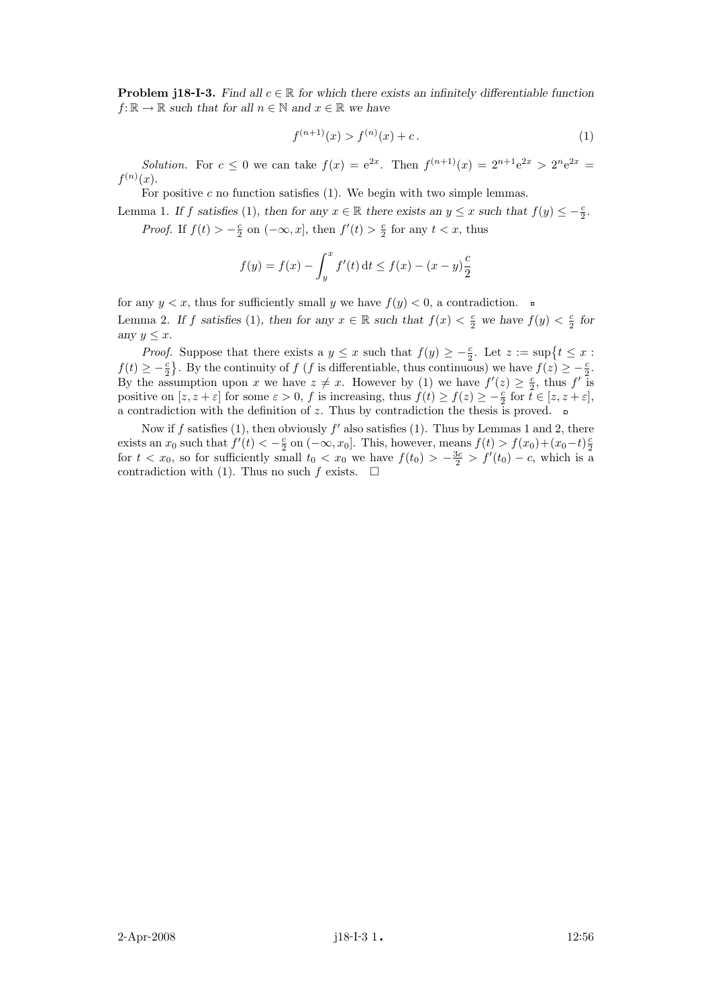**Problem j18-I-3.** Find all  $c \in \mathbb{R}$  for which there exists an infinitely differentiable function  $f: \mathbb{R} \to \mathbb{R}$  such that for all  $n \in \mathbb{N}$  and  $x \in \mathbb{R}$  we have

$$
f^{(n+1)}(x) > f^{(n)}(x) + c. \tag{1}
$$

*Solution*. For  $c \le 0$  we can take  $f(x) = e^{2x}$ . Then  $f^{(n+1)}(x) = 2^{n+1}e^{2x} > 2^n e^{2x}$  $f^{(n)}(x)$ .

For positive  $c$  no function satisfies (1). We begin with two simple lemmas.

Lemma 1. If f satisfies (1), then for any  $x \in \mathbb{R}$  there exists an  $y \leq x$  such that  $f(y) \leq -\frac{c}{2}$ . *Proof.* If  $f(t) > -\frac{c}{2}$  on  $(-\infty, x]$ , then  $f'(t) > \frac{c}{2}$  for any  $t < x$ , thus

$$
f(y) = f(x) - \int_{y}^{x} f'(t) dt \le f(x) - (x - y)\frac{c}{2}
$$

for any  $y < x$ , thus for sufficiently small y we have  $f(y) < 0$ , a contradiction. Lemma 2. If f satisfies (1), then for any  $x \in \mathbb{R}$  such that  $f(x) < \frac{c}{2}$  we have  $f(y) < \frac{c}{2}$  for any  $y \leq x$ .

*Proof.* Suppose that there exists a  $y \leq x$  such that  $f(y) \geq -\frac{c}{2}$ . Let  $z := \sup\{t \leq x :$  $f(t) \geq -\frac{c}{2}$ . By the continuity of f (f is differentiable, thus continuous) we have  $f(z) \geq -\frac{c}{2}$ . By the assumption upon x we have  $z \neq x$ . However by (1) we have  $f'(z) \geq \frac{c}{2}$ , thus  $f'$  is positive on  $[z, z + \varepsilon]$  for some  $\varepsilon > 0$ , f is increasing, thus  $f(t) \ge f(z) \ge -\frac{\varepsilon}{2}$  for  $\tilde{t} \in [z, z + \varepsilon]$ , a contradiction with the definition of z. Thus by contradiction the thesis is proved.  $\Box$ 

Now if f satisfies (1), then obviously  $f'$  also satisfies (1). Thus by Lemmas 1 and 2, there exists an  $x_0$  such that  $f'(t) < -\frac{c}{2}$  on  $(-\infty, x_0]$ . This, however, means  $f(t) > f(x_0) + (x_0 - t)\frac{c}{2}$ for  $t < x_0$ , so for sufficiently small  $t_0 < x_0$  we have  $f(t_0) > -\frac{3c}{2} > f'(t_0) - c$ , which is a contradiction with (1). Thus no such f exists.  $\Box$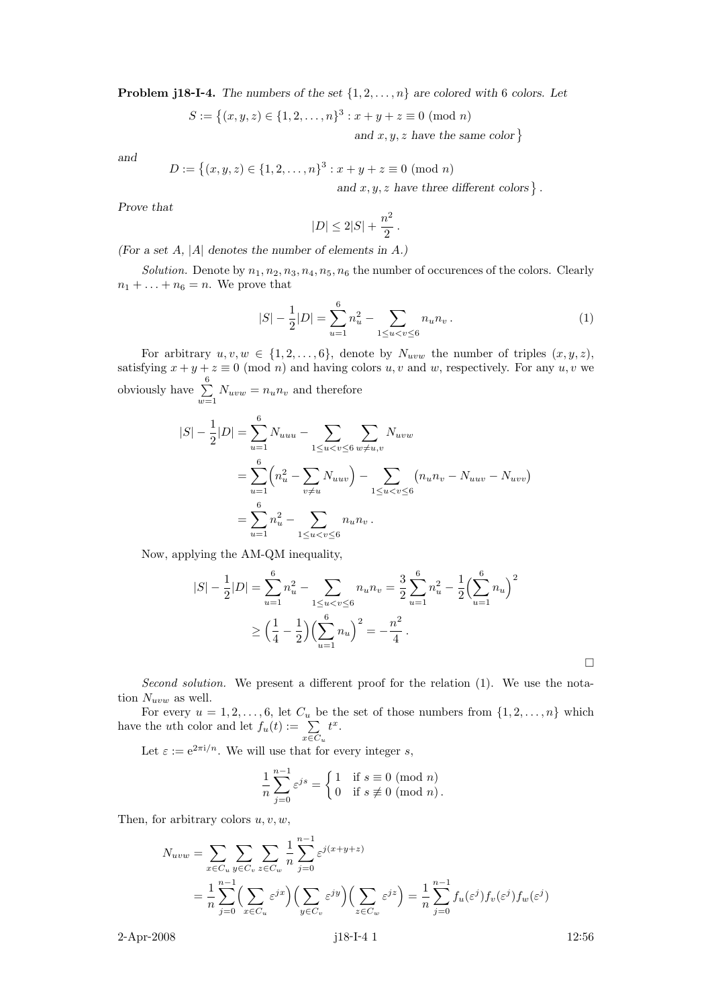**Problem j18-I-4.** The numbers of the set  $\{1, 2, \ldots, n\}$  are colored with 6 colors. Let

$$
S := \{(x, y, z) \in \{1, 2, ..., n\}^3 : x + y + z \equiv 0 \pmod{n}
$$
  
and  $x, y, z$  have the same

and

$$
D := \left\{ (x, y, z) \in \{1, 2, \dots, n\}^3 : x + y + z \equiv 0 \pmod{n} \right\}
$$
  
and  $x, y, z$  have three different colors  $\right\}$ .

Prove that

$$
|D| \le 2|S| + \frac{n^2}{2}.
$$

(For a set  $A$ , | $A$ | denotes the number of elements in  $A$ .)

Solution. Denote by  $n_1, n_2, n_3, n_4, n_5, n_6$  the number of occurences of the colors. Clearly  $n_1 + \ldots + n_6 = n$ . We prove that

$$
|S| - \frac{1}{2}|D| = \sum_{u=1}^{6} n_u^2 - \sum_{1 \le u < v \le 6} n_u n_v \,. \tag{1}
$$

 $color\}$ 

For arbitrary  $u, v, w \in \{1, 2, ..., 6\}$ , denote by  $N_{uvw}$  the number of triples  $(x, y, z)$ , satisfying  $x + y + z \equiv 0 \pmod{n}$  and having colors u, v and w, respectively. For any u, v we obviously have  $\sum_{n=1}^{\infty}$  $\sum_{w=1} N_{uvw} = n_u n_v$  and therefore

$$
|S| - \frac{1}{2}|D| = \sum_{u=1}^{6} N_{uuu} - \sum_{1 \le u < v \le 6} \sum_{w \ne u,v} N_{uvw}
$$
  
= 
$$
\sum_{u=1}^{6} \left( n_u^2 - \sum_{v \ne u} N_{uuv} \right) - \sum_{1 \le u < v \le 6} \left( n_u n_v - N_{uuv} - N_{uvw} \right)
$$
  
= 
$$
\sum_{u=1}^{6} n_u^2 - \sum_{1 \le u < v \le 6} n_u n_v.
$$

Now, applying the AM-QM inequality,

$$
|S| - \frac{1}{2}|D| = \sum_{u=1}^{6} n_u^2 - \sum_{1 \le u < v \le 6} n_u n_v = \frac{3}{2} \sum_{u=1}^{6} n_u^2 - \frac{1}{2} \left(\sum_{u=1}^{6} n_u\right)^2
$$
  

$$
\ge \left(\frac{1}{4} - \frac{1}{2}\right) \left(\sum_{u=1}^{6} n_u\right)^2 = -\frac{n^2}{4}.
$$

Second solution. We present a different proof for the relation  $(1)$ . We use the notation  $N_{uvw}$  as well.

For every  $u = 1, 2, \ldots, 6$ , let  $C_u$  be the set of those numbers from  $\{1, 2, \ldots, n\}$  which have the *u*th color and let  $f_u(t) := \sum_{x \in C_u}$  $t^x$ .

Let  $\varepsilon := e^{2\pi i/n}$ . We will use that for every integer s,

$$
\frac{1}{n}\sum_{j=0}^{n-1}\varepsilon^{js} = \begin{cases} 1 & \text{if } s \equiv 0 \pmod{n} \\ 0 & \text{if } s \not\equiv 0 \pmod{n} \end{cases}
$$

Then, for arbitrary colors  $u, v, w$ ,

$$
N_{uvw} = \sum_{x \in C_u} \sum_{y \in C_v} \sum_{z \in C_w} \frac{1}{n} \sum_{j=0}^{n-1} \varepsilon^{j(x+y+z)}
$$
  
= 
$$
\frac{1}{n} \sum_{j=0}^{n-1} \Biggl( \sum_{x \in C_u} \varepsilon^{jx} \Biggr) \Biggl( \sum_{y \in C_v} \varepsilon^{jy} \Biggr) \Biggl( \sum_{z \in C_w} \varepsilon^{jz} \Biggr) = \frac{1}{n} \sum_{j=0}^{n-1} f_u(\varepsilon^j) f_v(\varepsilon^j) f_w(\varepsilon^j)
$$

2-Apr-2008 **j18-I-4 1** 12:56

 $\Box$